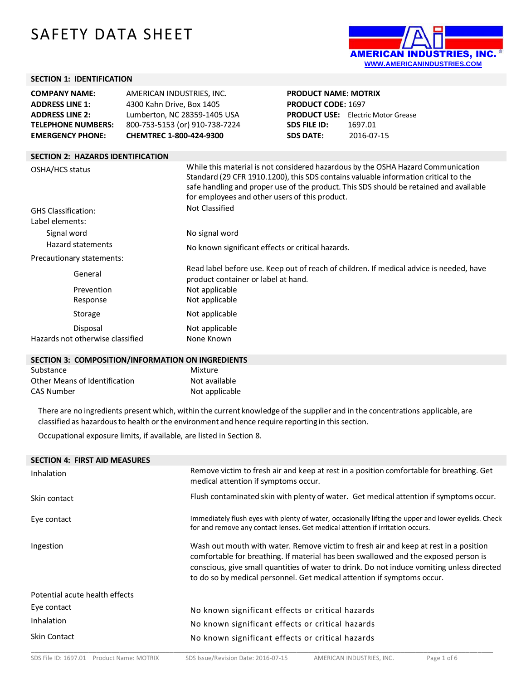# SAFETY DATA SHEET



## **SECTION 1: IDENTIFICATION**

| <b>COMPANY NAME:</b>      | AMERICAN INDUSTRIES, INC.      | <b>PRODUCT N</b>    |
|---------------------------|--------------------------------|---------------------|
| <b>ADDRESS LINE 1:</b>    | 4300 Kahn Drive, Box 1405      | <b>PRODUCT C</b>    |
| <b>ADDRESS LINE 2:</b>    | Lumberton, NC 28359-1405 USA   | <b>PRODUCT L</b>    |
| <b>TELEPHONE NUMBERS:</b> | 800-753-5153 (or) 910-738-7224 | <b>SDS FILE ID:</b> |
| <b>EMERGENCY PHONE:</b>   | CHEMTREC 1-800-424-9300        | <b>SDS DATE:</b>    |
|                           |                                |                     |

**PRODUCT NAME: MOTRIX PDE: 1697 JSE:** Electric Motor Grease **SDS FILE ID:** 1697.01 **SDS DATE:** 2016-07-15

# **SECTION 2: HAZARDS IDENTIFICATION** OSHA/HCS status While this material is not considered hazardous by the OSHA Hazard Communication Standard (29 CFR 1910.1200), this SDS contains valuable information critical to the safe handling and proper use of the product. This SDS should be retained and available for employees and other users of this product. GHS Classification: Not Classified Label elements: Signal word No signal word Hazard statements No known significant effects or critical hazards. Precautionary statements: General Read label before use. Keep out of reach of children. If medical advice is needed, have product container or label at hand. Prevention Not applicable Response Not applicable Storage Not applicable Disposal Not applicable Hazards not otherwise classified None Known

#### **SECTION 3: COMPOSITION/INFORMATION ON INGREDIENTS**

| Substance                     | Mixture        |
|-------------------------------|----------------|
| Other Means of Identification | Not available  |
| CAS Number                    | Not applicable |

There are no ingredients present which, within the current knowledgeof the supplier and in the concentrations applicable, are classified as hazardousto health or the environment and hence require reporting in thissection.

Occupational exposure limits, if available, are listed in Section 8.

| Remove victim to fresh air and keep at rest in a position comfortable for breathing. Get<br>medical attention if symptoms occur.                                                                                                                                                                                                                     |
|------------------------------------------------------------------------------------------------------------------------------------------------------------------------------------------------------------------------------------------------------------------------------------------------------------------------------------------------------|
| Flush contaminated skin with plenty of water. Get medical attention if symptoms occur.                                                                                                                                                                                                                                                               |
| Immediately flush eyes with plenty of water, occasionally lifting the upper and lower eyelids. Check<br>for and remove any contact lenses. Get medical attention if irritation occurs.                                                                                                                                                               |
| Wash out mouth with water. Remove victim to fresh air and keep at rest in a position<br>comfortable for breathing. If material has been swallowed and the exposed person is<br>conscious, give small quantities of water to drink. Do not induce vomiting unless directed<br>to do so by medical personnel. Get medical attention if symptoms occur. |
|                                                                                                                                                                                                                                                                                                                                                      |
| No known significant effects or critical hazards                                                                                                                                                                                                                                                                                                     |
| No known significant effects or critical hazards                                                                                                                                                                                                                                                                                                     |
| No known significant effects or critical hazards                                                                                                                                                                                                                                                                                                     |
|                                                                                                                                                                                                                                                                                                                                                      |

\_\_\_\_\_\_\_\_\_\_\_\_\_\_\_\_\_\_\_\_\_\_\_\_\_\_\_\_\_\_\_\_\_\_\_\_\_\_\_\_\_\_\_\_\_\_\_\_\_\_\_\_\_\_\_\_\_\_\_\_\_\_\_\_\_\_\_\_\_\_\_\_\_\_\_\_\_\_\_\_\_\_\_\_\_\_\_\_\_\_\_\_\_\_\_\_\_\_\_\_\_\_\_\_\_\_\_\_\_\_\_\_\_\_\_\_\_\_\_\_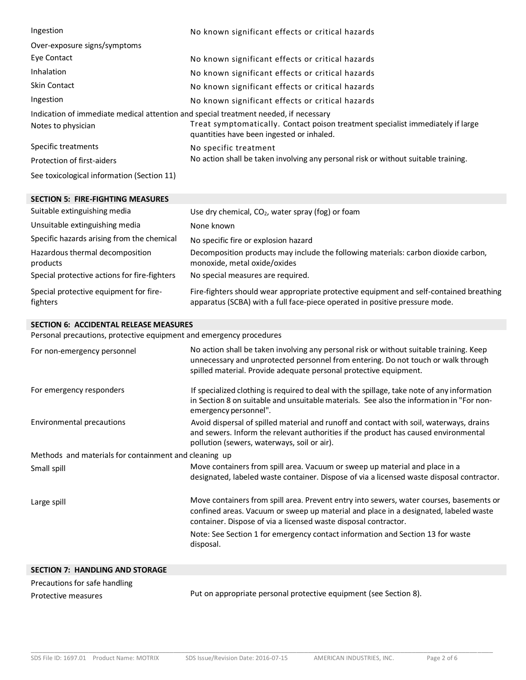| Ingestion                                                                            | No known significant effects or critical hazards                                                                             |
|--------------------------------------------------------------------------------------|------------------------------------------------------------------------------------------------------------------------------|
| Over-exposure signs/symptoms                                                         |                                                                                                                              |
| Eye Contact                                                                          | No known significant effects or critical hazards                                                                             |
| Inhalation                                                                           | No known significant effects or critical hazards                                                                             |
| <b>Skin Contact</b>                                                                  | No known significant effects or critical hazards                                                                             |
| Ingestion                                                                            | No known significant effects or critical hazards                                                                             |
| Indication of immediate medical attention and special treatment needed, if necessary |                                                                                                                              |
| Notes to physician                                                                   | Treat symptomatically. Contact poison treatment specialist immediately if large<br>quantities have been ingested or inhaled. |
| Specific treatments                                                                  | No specific treatment                                                                                                        |
| Protection of first-aiders                                                           | No action shall be taken involving any personal risk or without suitable training.                                           |
| See toxicological information (Section 11)                                           |                                                                                                                              |

| <b>SECTION 5: FIRE-FIGHTING MEASURES</b>           |                                                                                                                                                                        |
|----------------------------------------------------|------------------------------------------------------------------------------------------------------------------------------------------------------------------------|
| Suitable extinguishing media                       | Use dry chemical, $CO2$ , water spray (fog) or foam                                                                                                                    |
| Unsuitable extinguishing media                     | None known                                                                                                                                                             |
| Specific hazards arising from the chemical         | No specific fire or explosion hazard                                                                                                                                   |
| Hazardous thermal decomposition<br>products        | Decomposition products may include the following materials: carbon dioxide carbon,<br>monoxide, metal oxide/oxides                                                     |
| Special protective actions for fire-fighters       | No special measures are required.                                                                                                                                      |
| Special protective equipment for fire-<br>fighters | Fire-fighters should wear appropriate protective equipment and self-contained breathing<br>apparatus (SCBA) with a full face-piece operated in positive pressure mode. |

## **SECTION 6: ACCIDENTAL RELEASE MEASURES**

Personal precautions, protective equipment and emergency procedures

| For non-emergency personnel                           | No action shall be taken involving any personal risk or without suitable training. Keep<br>unnecessary and unprotected personnel from entering. Do not touch or walk through<br>spilled material. Provide adequate personal protective equipment.  |  |  |
|-------------------------------------------------------|----------------------------------------------------------------------------------------------------------------------------------------------------------------------------------------------------------------------------------------------------|--|--|
| For emergency responders                              | If specialized clothing is required to deal with the spillage, take note of any information<br>in Section 8 on suitable and unsuitable materials. See also the information in "For non-<br>emergency personnel".                                   |  |  |
| Environmental precautions                             | Avoid dispersal of spilled material and runoff and contact with soil, waterways, drains<br>and sewers. Inform the relevant authorities if the product has caused environmental<br>pollution (sewers, waterways, soil or air).                      |  |  |
| Methods and materials for containment and cleaning up |                                                                                                                                                                                                                                                    |  |  |
| Small spill                                           | Move containers from spill area. Vacuum or sweep up material and place in a<br>designated, labeled waste container. Dispose of via a licensed waste disposal contractor.                                                                           |  |  |
| Large spill                                           | Move containers from spill area. Prevent entry into sewers, water courses, basements or<br>confined areas. Vacuum or sweep up material and place in a designated, labeled waste<br>container. Dispose of via a licensed waste disposal contractor. |  |  |
|                                                       | Note: See Section 1 for emergency contact information and Section 13 for waste<br>disposal.                                                                                                                                                        |  |  |
|                                                       |                                                                                                                                                                                                                                                    |  |  |

| <b>SECTION 7: HANDLING AND STORAGE</b> |                                                                   |
|----------------------------------------|-------------------------------------------------------------------|
| Precautions for safe handling          |                                                                   |
| Protective measures                    | Put on appropriate personal protective equipment (see Section 8). |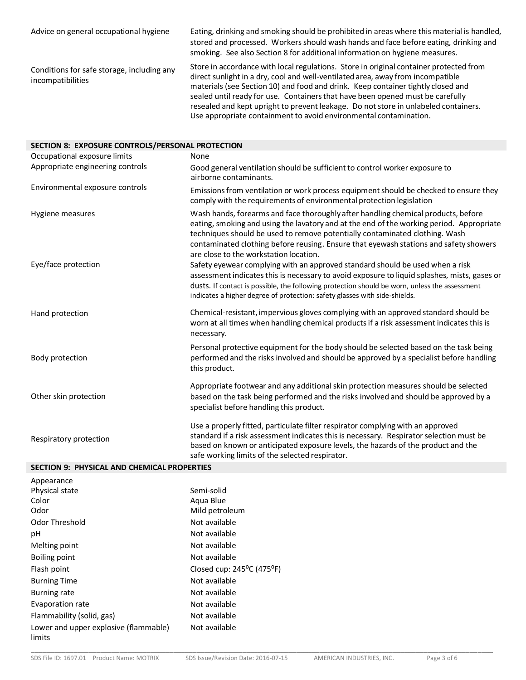| Advice on general occupational hygiene                          | Eating, drinking and smoking should be prohibited in areas where this material is handled,<br>stored and processed. Workers should wash hands and face before eating, drinking and<br>smoking. See also Section 8 for additional information on hygiene measures.                                                                                                                                                                      |
|-----------------------------------------------------------------|----------------------------------------------------------------------------------------------------------------------------------------------------------------------------------------------------------------------------------------------------------------------------------------------------------------------------------------------------------------------------------------------------------------------------------------|
| Conditions for safe storage, including any<br>incompatibilities | Store in accordance with local regulations. Store in original container protected from<br>direct sunlight in a dry, cool and well-ventilated area, away from incompatible<br>materials (see Section 10) and food and drink. Keep container tightly closed and<br>sealed until ready for use. Containers that have been opened must be carefully<br>resealed and kept upright to prevent leakage. Do not store in unlabeled containers. |

Use appropriate containment to avoid environmental contamination.

| SECTION 8: EXPOSURE CONTROLS/PERSONAL PROTECTION |                                                                                                                                                                                                                                                                                                                                                                                                 |  |  |
|--------------------------------------------------|-------------------------------------------------------------------------------------------------------------------------------------------------------------------------------------------------------------------------------------------------------------------------------------------------------------------------------------------------------------------------------------------------|--|--|
| Occupational exposure limits                     | None                                                                                                                                                                                                                                                                                                                                                                                            |  |  |
| Appropriate engineering controls                 | Good general ventilation should be sufficient to control worker exposure to<br>airborne contaminants.                                                                                                                                                                                                                                                                                           |  |  |
| Environmental exposure controls                  | Emissions from ventilation or work process equipment should be checked to ensure they<br>comply with the requirements of environmental protection legislation                                                                                                                                                                                                                                   |  |  |
| Hygiene measures                                 | Wash hands, forearms and face thoroughly after handling chemical products, before<br>eating, smoking and using the lavatory and at the end of the working period. Appropriate<br>techniques should be used to remove potentially contaminated clothing. Wash<br>contaminated clothing before reusing. Ensure that eyewash stations and safety showers<br>are close to the workstation location. |  |  |
| Eye/face protection                              | Safety eyewear complying with an approved standard should be used when a risk<br>assessment indicates this is necessary to avoid exposure to liquid splashes, mists, gases or<br>dusts. If contact is possible, the following protection should be worn, unless the assessment<br>indicates a higher degree of protection: safety glasses with side-shields.                                    |  |  |
| Hand protection                                  | Chemical-resistant, impervious gloves complying with an approved standard should be<br>worn at all times when handling chemical products if a risk assessment indicates this is<br>necessary.                                                                                                                                                                                                   |  |  |
| Body protection                                  | Personal protective equipment for the body should be selected based on the task being<br>performed and the risks involved and should be approved by a specialist before handling<br>this product.                                                                                                                                                                                               |  |  |
| Other skin protection                            | Appropriate footwear and any additional skin protection measures should be selected<br>based on the task being performed and the risks involved and should be approved by a<br>specialist before handling this product.                                                                                                                                                                         |  |  |
| Respiratory protection                           | Use a properly fitted, particulate filter respirator complying with an approved<br>standard if a risk assessment indicates this is necessary. Respirator selection must be<br>based on known or anticipated exposure levels, the hazards of the product and the<br>safe working limits of the selected respirator.                                                                              |  |  |

## **SECTION 9: PHYSICAL AND CHEMICAL PROPERTIES**

| Appearance                                      |                                                  |
|-------------------------------------------------|--------------------------------------------------|
| Physical state                                  | Semi-solid                                       |
| Color                                           | Agua Blue                                        |
| Odor                                            | Mild petroleum                                   |
| Odor Threshold                                  | Not available                                    |
| рH                                              | Not available                                    |
| Melting point                                   | Not available                                    |
| Boiling point                                   | Not available                                    |
| Flash point                                     | Closed cup: $245^{\circ}$ C (475 <sup>o</sup> F) |
| <b>Burning Time</b>                             | Not available                                    |
| <b>Burning rate</b>                             | Not available                                    |
| Evaporation rate                                | Not available                                    |
| Flammability (solid, gas)                       | Not available                                    |
| Lower and upper explosive (flammable)<br>limits | Not available                                    |

\_\_\_\_\_\_\_\_\_\_\_\_\_\_\_\_\_\_\_\_\_\_\_\_\_\_\_\_\_\_\_\_\_\_\_\_\_\_\_\_\_\_\_\_\_\_\_\_\_\_\_\_\_\_\_\_\_\_\_\_\_\_\_\_\_\_\_\_\_\_\_\_\_\_\_\_\_\_\_\_\_\_\_\_\_\_\_\_\_\_\_\_\_\_\_\_\_\_\_\_\_\_\_\_\_\_\_\_\_\_\_\_\_\_\_\_\_\_\_\_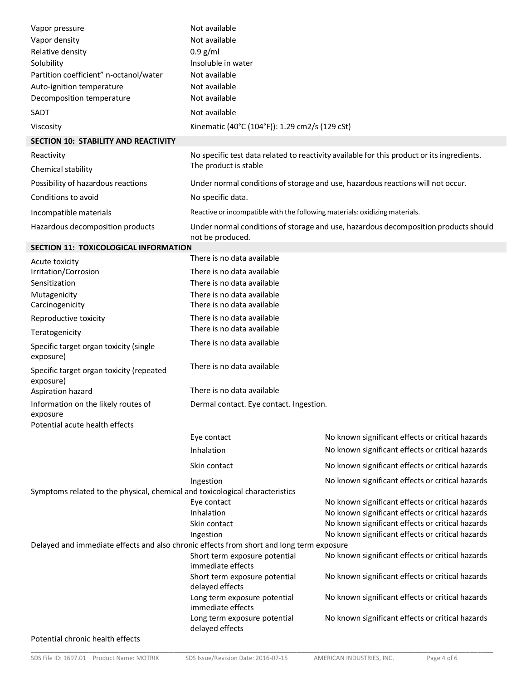| Vapor pressure                                                                           | Not available                                                                                           |                                                                                            |  |
|------------------------------------------------------------------------------------------|---------------------------------------------------------------------------------------------------------|--------------------------------------------------------------------------------------------|--|
| Vapor density                                                                            | Not available                                                                                           |                                                                                            |  |
| Relative density                                                                         | $0.9$ g/ml                                                                                              |                                                                                            |  |
| Solubility                                                                               | Insoluble in water                                                                                      |                                                                                            |  |
| Partition coefficient" n-octanol/water                                                   | Not available                                                                                           |                                                                                            |  |
| Auto-ignition temperature                                                                | Not available                                                                                           |                                                                                            |  |
| Decomposition temperature                                                                | Not available                                                                                           |                                                                                            |  |
| SADT                                                                                     | Not available                                                                                           |                                                                                            |  |
| Viscosity                                                                                | Kinematic (40°C (104°F)): 1.29 cm2/s (129 cSt)                                                          |                                                                                            |  |
| SECTION 10: STABILITY AND REACTIVITY                                                     |                                                                                                         |                                                                                            |  |
| Reactivity                                                                               |                                                                                                         | No specific test data related to reactivity available for this product or its ingredients. |  |
| Chemical stability                                                                       | The product is stable                                                                                   |                                                                                            |  |
| Possibility of hazardous reactions                                                       |                                                                                                         | Under normal conditions of storage and use, hazardous reactions will not occur.            |  |
| Conditions to avoid                                                                      | No specific data.                                                                                       |                                                                                            |  |
| Incompatible materials                                                                   | Reactive or incompatible with the following materials: oxidizing materials.                             |                                                                                            |  |
| Hazardous decomposition products                                                         | Under normal conditions of storage and use, hazardous decomposition products should<br>not be produced. |                                                                                            |  |
| <b>SECTION 11: TOXICOLOGICAL INFORMATION</b>                                             |                                                                                                         |                                                                                            |  |
| Acute toxicity                                                                           | There is no data available                                                                              |                                                                                            |  |
| Irritation/Corrosion<br>Sensitization                                                    | There is no data available<br>There is no data available                                                |                                                                                            |  |
| Mutagenicity<br>Carcinogenicity                                                          | There is no data available<br>There is no data available                                                |                                                                                            |  |
| Reproductive toxicity                                                                    | There is no data available                                                                              |                                                                                            |  |
| Teratogenicity                                                                           | There is no data available                                                                              |                                                                                            |  |
| Specific target organ toxicity (single<br>exposure)                                      | There is no data available                                                                              |                                                                                            |  |
| Specific target organ toxicity (repeated<br>exposure)                                    | There is no data available                                                                              |                                                                                            |  |
| Aspiration hazard                                                                        | There is no data available                                                                              |                                                                                            |  |
| Information on the likely routes of<br>exposure<br>Potential acute health effects        | Dermal contact. Eye contact. Ingestion.                                                                 |                                                                                            |  |
|                                                                                          | Eye contact                                                                                             | No known significant effects or critical hazards                                           |  |
|                                                                                          | Inhalation                                                                                              | No known significant effects or critical hazards                                           |  |
|                                                                                          | Skin contact                                                                                            | No known significant effects or critical hazards                                           |  |
|                                                                                          | Ingestion                                                                                               | No known significant effects or critical hazards                                           |  |
| Symptoms related to the physical, chemical and toxicological characteristics             |                                                                                                         |                                                                                            |  |
|                                                                                          | Eye contact                                                                                             | No known significant effects or critical hazards                                           |  |
|                                                                                          | Inhalation                                                                                              | No known significant effects or critical hazards                                           |  |
|                                                                                          | Skin contact                                                                                            | No known significant effects or critical hazards                                           |  |
| Delayed and immediate effects and also chronic effects from short and long term exposure | Ingestion                                                                                               | No known significant effects or critical hazards                                           |  |
|                                                                                          | Short term exposure potential<br>immediate effects                                                      | No known significant effects or critical hazards                                           |  |
|                                                                                          | Short term exposure potential<br>delayed effects                                                        | No known significant effects or critical hazards                                           |  |
|                                                                                          | Long term exposure potential<br>immediate effects                                                       | No known significant effects or critical hazards                                           |  |
|                                                                                          | Long term exposure potential<br>delayed effects                                                         | No known significant effects or critical hazards                                           |  |
| Potential chronic health effects                                                         |                                                                                                         |                                                                                            |  |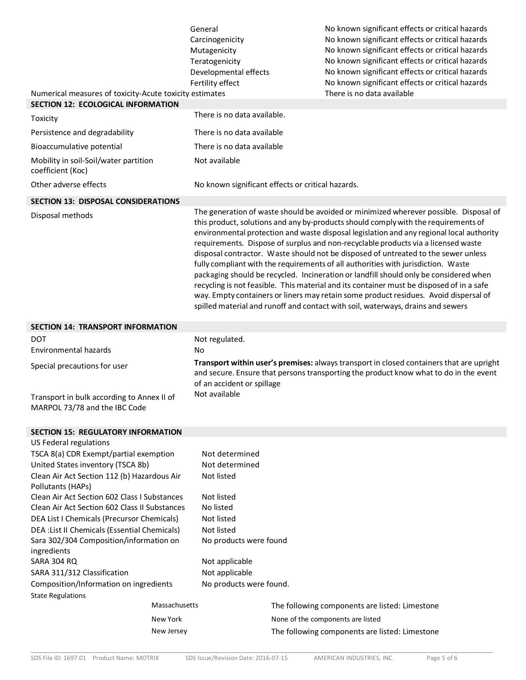|                                                                                                      | General                                                                                                                                                                                                         | No known significant effects or critical hazards                                                                                                                                                                                                                                                                                                                                                                                                                                                                                                                                                                                                                                                                                                                                                                                                                                                        |
|------------------------------------------------------------------------------------------------------|-----------------------------------------------------------------------------------------------------------------------------------------------------------------------------------------------------------------|---------------------------------------------------------------------------------------------------------------------------------------------------------------------------------------------------------------------------------------------------------------------------------------------------------------------------------------------------------------------------------------------------------------------------------------------------------------------------------------------------------------------------------------------------------------------------------------------------------------------------------------------------------------------------------------------------------------------------------------------------------------------------------------------------------------------------------------------------------------------------------------------------------|
|                                                                                                      | Carcinogenicity                                                                                                                                                                                                 | No known significant effects or critical hazards                                                                                                                                                                                                                                                                                                                                                                                                                                                                                                                                                                                                                                                                                                                                                                                                                                                        |
|                                                                                                      | Mutagenicity                                                                                                                                                                                                    | No known significant effects or critical hazards                                                                                                                                                                                                                                                                                                                                                                                                                                                                                                                                                                                                                                                                                                                                                                                                                                                        |
|                                                                                                      | Teratogenicity                                                                                                                                                                                                  | No known significant effects or critical hazards                                                                                                                                                                                                                                                                                                                                                                                                                                                                                                                                                                                                                                                                                                                                                                                                                                                        |
|                                                                                                      | Developmental effects<br>Fertility effect                                                                                                                                                                       | No known significant effects or critical hazards                                                                                                                                                                                                                                                                                                                                                                                                                                                                                                                                                                                                                                                                                                                                                                                                                                                        |
|                                                                                                      |                                                                                                                                                                                                                 | No known significant effects or critical hazards<br>There is no data available                                                                                                                                                                                                                                                                                                                                                                                                                                                                                                                                                                                                                                                                                                                                                                                                                          |
| Numerical measures of toxicity-Acute toxicity estimates<br><b>SECTION 12: ECOLOGICAL INFORMATION</b> |                                                                                                                                                                                                                 |                                                                                                                                                                                                                                                                                                                                                                                                                                                                                                                                                                                                                                                                                                                                                                                                                                                                                                         |
| Toxicity                                                                                             | There is no data available.                                                                                                                                                                                     |                                                                                                                                                                                                                                                                                                                                                                                                                                                                                                                                                                                                                                                                                                                                                                                                                                                                                                         |
| Persistence and degradability                                                                        | There is no data available                                                                                                                                                                                      |                                                                                                                                                                                                                                                                                                                                                                                                                                                                                                                                                                                                                                                                                                                                                                                                                                                                                                         |
| Bioaccumulative potential                                                                            | There is no data available                                                                                                                                                                                      |                                                                                                                                                                                                                                                                                                                                                                                                                                                                                                                                                                                                                                                                                                                                                                                                                                                                                                         |
| Mobility in soil-Soil/water partition<br>coefficient (Koc)                                           | Not available                                                                                                                                                                                                   |                                                                                                                                                                                                                                                                                                                                                                                                                                                                                                                                                                                                                                                                                                                                                                                                                                                                                                         |
| Other adverse effects                                                                                |                                                                                                                                                                                                                 | No known significant effects or critical hazards.                                                                                                                                                                                                                                                                                                                                                                                                                                                                                                                                                                                                                                                                                                                                                                                                                                                       |
| <b>SECTION 13: DISPOSAL CONSIDERATIONS</b>                                                           |                                                                                                                                                                                                                 |                                                                                                                                                                                                                                                                                                                                                                                                                                                                                                                                                                                                                                                                                                                                                                                                                                                                                                         |
| Disposal methods                                                                                     |                                                                                                                                                                                                                 | The generation of waste should be avoided or minimized wherever possible. Disposal of<br>this product, solutions and any by-products should comply with the requirements of<br>environmental protection and waste disposal legislation and any regional local authority<br>requirements. Dispose of surplus and non-recyclable products via a licensed waste<br>disposal contractor. Waste should not be disposed of untreated to the sewer unless<br>fully compliant with the requirements of all authorities with jurisdiction. Waste<br>packaging should be recycled. Incineration or landfill should only be considered when<br>recycling is not feasible. This material and its container must be disposed of in a safe<br>way. Empty containers or liners may retain some product residues. Avoid dispersal of<br>spilled material and runoff and contact with soil, waterways, drains and sewers |
| <b>SECTION 14: TRANSPORT INFORMATION</b>                                                             |                                                                                                                                                                                                                 |                                                                                                                                                                                                                                                                                                                                                                                                                                                                                                                                                                                                                                                                                                                                                                                                                                                                                                         |
| DOT                                                                                                  | Not regulated.                                                                                                                                                                                                  |                                                                                                                                                                                                                                                                                                                                                                                                                                                                                                                                                                                                                                                                                                                                                                                                                                                                                                         |
| Environmental hazards                                                                                | No                                                                                                                                                                                                              |                                                                                                                                                                                                                                                                                                                                                                                                                                                                                                                                                                                                                                                                                                                                                                                                                                                                                                         |
| Special precautions for user                                                                         | Transport within user's premises: always transport in closed containers that are upright<br>and secure. Ensure that persons transporting the product know what to do in the event<br>of an accident or spillage |                                                                                                                                                                                                                                                                                                                                                                                                                                                                                                                                                                                                                                                                                                                                                                                                                                                                                                         |
| Transport in bulk according to Annex II of<br>MARPOL 73/78 and the IBC Code                          | Not available                                                                                                                                                                                                   |                                                                                                                                                                                                                                                                                                                                                                                                                                                                                                                                                                                                                                                                                                                                                                                                                                                                                                         |
| <b>SECTION 15: REGULATORY INFORMATION</b>                                                            |                                                                                                                                                                                                                 |                                                                                                                                                                                                                                                                                                                                                                                                                                                                                                                                                                                                                                                                                                                                                                                                                                                                                                         |
| US Federal regulations                                                                               |                                                                                                                                                                                                                 |                                                                                                                                                                                                                                                                                                                                                                                                                                                                                                                                                                                                                                                                                                                                                                                                                                                                                                         |
| TSCA 8(a) CDR Exempt/partial exemption                                                               | Not determined                                                                                                                                                                                                  |                                                                                                                                                                                                                                                                                                                                                                                                                                                                                                                                                                                                                                                                                                                                                                                                                                                                                                         |
| United States inventory (TSCA 8b)                                                                    | Not determined                                                                                                                                                                                                  |                                                                                                                                                                                                                                                                                                                                                                                                                                                                                                                                                                                                                                                                                                                                                                                                                                                                                                         |
| Clean Air Act Section 112 (b) Hazardous Air<br>Pollutants (HAPs)                                     | Not listed                                                                                                                                                                                                      |                                                                                                                                                                                                                                                                                                                                                                                                                                                                                                                                                                                                                                                                                                                                                                                                                                                                                                         |
| Clean Air Act Section 602 Class I Substances                                                         | Not listed                                                                                                                                                                                                      |                                                                                                                                                                                                                                                                                                                                                                                                                                                                                                                                                                                                                                                                                                                                                                                                                                                                                                         |
| Clean Air Act Section 602 Class II Substances                                                        | No listed                                                                                                                                                                                                       |                                                                                                                                                                                                                                                                                                                                                                                                                                                                                                                                                                                                                                                                                                                                                                                                                                                                                                         |
| DEA List I Chemicals (Precursor Chemicals)                                                           | Not listed                                                                                                                                                                                                      |                                                                                                                                                                                                                                                                                                                                                                                                                                                                                                                                                                                                                                                                                                                                                                                                                                                                                                         |
| DEA : List II Chemicals (Essential Chemicals)                                                        | Not listed                                                                                                                                                                                                      |                                                                                                                                                                                                                                                                                                                                                                                                                                                                                                                                                                                                                                                                                                                                                                                                                                                                                                         |
| Sara 302/304 Composition/information on                                                              | No products were found                                                                                                                                                                                          |                                                                                                                                                                                                                                                                                                                                                                                                                                                                                                                                                                                                                                                                                                                                                                                                                                                                                                         |
| ingredients<br>SARA 304 RQ                                                                           | Not applicable                                                                                                                                                                                                  |                                                                                                                                                                                                                                                                                                                                                                                                                                                                                                                                                                                                                                                                                                                                                                                                                                                                                                         |
| SARA 311/312 Classification                                                                          | Not applicable                                                                                                                                                                                                  |                                                                                                                                                                                                                                                                                                                                                                                                                                                                                                                                                                                                                                                                                                                                                                                                                                                                                                         |
| Composition/Information on ingredients                                                               | No products were found.                                                                                                                                                                                         |                                                                                                                                                                                                                                                                                                                                                                                                                                                                                                                                                                                                                                                                                                                                                                                                                                                                                                         |
| <b>State Regulations</b>                                                                             |                                                                                                                                                                                                                 |                                                                                                                                                                                                                                                                                                                                                                                                                                                                                                                                                                                                                                                                                                                                                                                                                                                                                                         |
| Massachusetts                                                                                        |                                                                                                                                                                                                                 | The following components are listed: Limestone                                                                                                                                                                                                                                                                                                                                                                                                                                                                                                                                                                                                                                                                                                                                                                                                                                                          |
| New York                                                                                             |                                                                                                                                                                                                                 | None of the components are listed                                                                                                                                                                                                                                                                                                                                                                                                                                                                                                                                                                                                                                                                                                                                                                                                                                                                       |
| New Jersey                                                                                           |                                                                                                                                                                                                                 | The following components are listed: Limestone                                                                                                                                                                                                                                                                                                                                                                                                                                                                                                                                                                                                                                                                                                                                                                                                                                                          |
|                                                                                                      |                                                                                                                                                                                                                 |                                                                                                                                                                                                                                                                                                                                                                                                                                                                                                                                                                                                                                                                                                                                                                                                                                                                                                         |